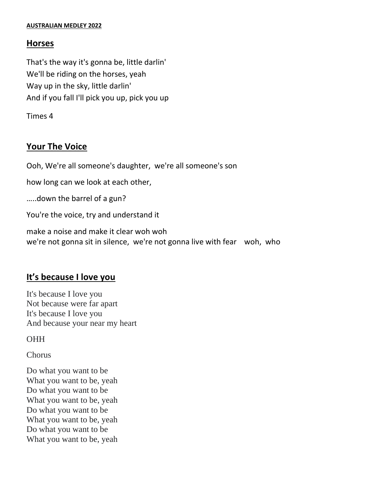#### **AUSTRALIAN MEDLEY 2022**

### **Horses**

That's the way it's gonna be, little darlin' We'll be riding on the horses, yeah Way up in the sky, little darlin' And if you fall I'll pick you up, pick you up

Times 4

## **Your The Voice**

Ooh, We're all someone's daughter, we're all someone's son

how long can we look at each other,

…..down the barrel of a gun?

You're the voice, try and understand it

make a noise and make it clear woh woh we're not gonna sit in silence, we're not gonna live with fear woh, who

## **It's because I love you**

It's because I love you Not because were far apart It's because I love you And because your near my heart

**OHH** 

Chorus

Do what you want to be What you want to be, yeah Do what you want to be What you want to be, yeah Do what you want to be What you want to be, yeah Do what you want to be What you want to be, yeah